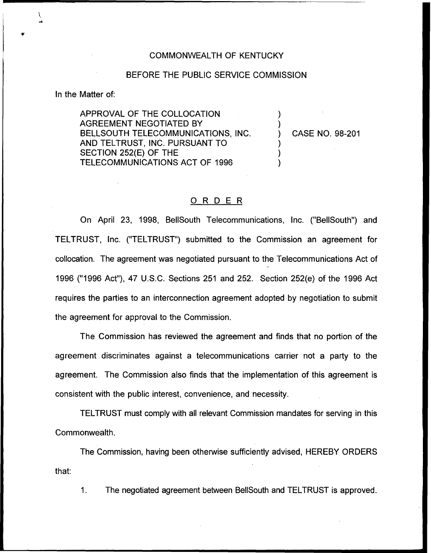## COMMONWEALTH OF KENTUCKY

## BEFORE THE PUBLIC SERVICE COMMISSION

In the Matter of:

APPROVAL OF THE COLLOCATION AGREEMENT NEGOTIATED BY BELLSOUTH TELECOMMUNICATIONS, INC. AND TELTRUST, INC. PURSUANT TO SECTION 252(E) OF THE TELECOMMUNICATIONS ACT OF 1996

) CASE NO. 98-201

) )

) ) )

## 0 <sup>R</sup> <sup>D</sup> <sup>E</sup> <sup>R</sup>

On April 23, 1998, BellSouth Telecommunications, Inc. ("BellSouth") and TELTRUST, Inc. ("TELTRUST") submitted to the Commission an agreement for collocation. The agreement was negotiated pursuant to the Telecommunications Act of 1996 ("1996Act"), 47 U.S.C. Sections 251 and 252. Section 252(e) of the 1996 Act requires the parties to an interconnection agreement adopted by negotiation to submit the agreement for approval to the Commission.

The Commission has reviewed the agreement and finds that no portion of the agreement discriminates against a telecommunications carrier not a party to the agreement. The Commission also finds that the implementation of this agreement is consistent with the public interest, convenience, and necessity.

TELTRUST must comply with all relevant Commission mandates for serving in this Commonwealth.

The Commission, having been otherwise sufficiently advised, HEREBY ORDERS that:

1. The negotiated agreement between BellSouth and TELTRUST is approved.